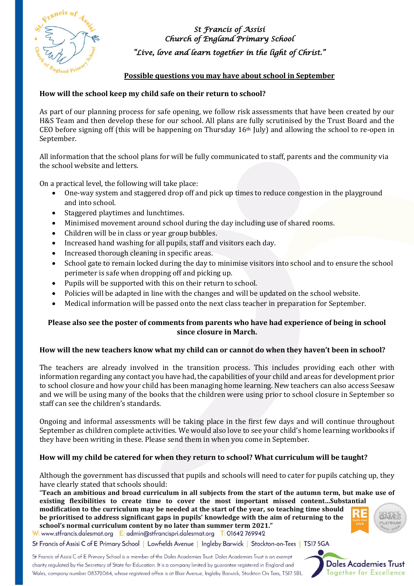

*St Francis of Assisi Church of England Primary School "Live, love and learn together in the light of Christ."* 

## **Possible questions you may have about school in September**

## **How will the school keep my child safe on their return to school?**

As part of our planning process for safe opening, we follow risk assessments that have been created by our H&S Team and then develop these for our school. All plans are fully scrutinised by the Trust Board and the CEO before signing off (this will be happening on Thursday  $16<sup>th</sup>$  July) and allowing the school to re-open in September.

All information that the school plans for will be fully communicated to staff, parents and the community via the school website and letters.

On a practical level, the following will take place:

- One-way system and staggered drop off and pick up times to reduce congestion in the playground and into school.
- Staggered playtimes and lunchtimes.
- Minimised movement around school during the day including use of shared rooms.
- Children will be in class or year group bubbles.
- Increased hand washing for all pupils, staff and visitors each day.
- Increased thorough cleaning in specific areas.
- School gate to remain locked during the day to minimise visitors into school and to ensure the school perimeter is safe when dropping off and picking up.
- Pupils will be supported with this on their return to school.
- Policies will be adapted in line with the changes and will be updated on the school website.
- Medical information will be passed onto the next class teacher in preparation for September.

## **Please also see the poster of comments from parents who have had experience of being in school since closure in March.**

## **How will the new teachers know what my child can or cannot do when they haven't been in school?**

The teachers are already involved in the transition process. This includes providing each other with information regarding any contact you have had, the capabilities of your child and areas for development prior to school closure and how your child has been managing home learning. New teachers can also access Seesaw and we will be using many of the books that the children were using prior to school closure in September so staff can see the children's standards.

Ongoing and informal assessments will be taking place in the first few days and will continue throughout September as children complete activities. We would also love to see your child's home learning workbooks if they have been writing in these. Please send them in when you come in September.

## **How will my child be catered for when they return to school? What curriculum will be taught?**

Although the government has discussed that pupils and schools will need to cater for pupils catching up, they have clearly stated that schools should:

"Teach an ambitious and broad curriculum in all subjects from the start of the autumn term, but make use of **existing flexibilities to create time to cover the most important missed content…Substantial modification to the curriculum may be needed at the start of the year, so teaching time should be prioritised to address significant gaps in pupils' knowledge with the aim of returning to the school's normal curriculum content by no later than summer term 2021."**

W: www.stfrancis.dalesmat.org E: admin@stfrancispri.dalesmat.org T: 01642 769942

St Francis of Assisi C of E Primary School | Lowfields Avenue | Ingleby Barwick | Stockton-on-Tees | TS17 5GA

St Francis of Assisi C of E Primary School is a member of the Dales Academies Trust. Dales Academies Trust is an exempt charity regulated by the Secretary of State for Education. It is a company limited by guarantee registered in England and Wales, company number 08372064, whose registered office is at Blair Avenue, Ingleby Barwick, Stockton On Tees, TS17 5BL